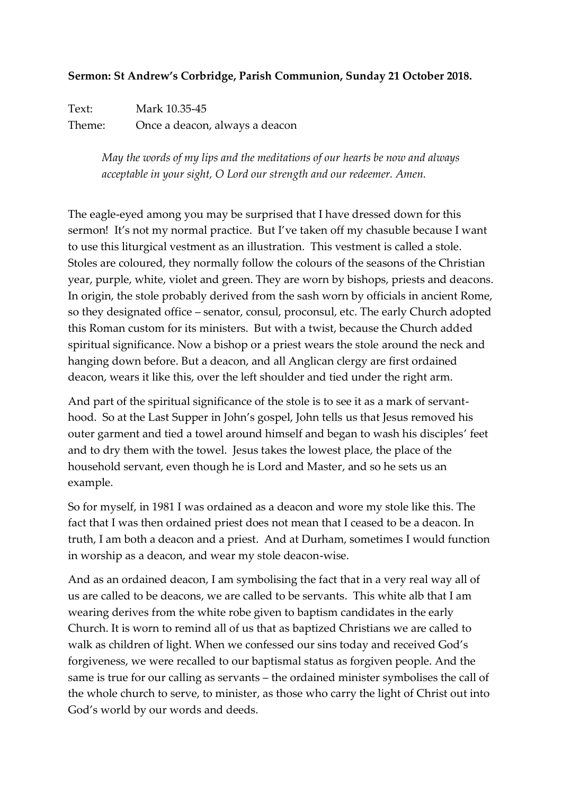## **Sermon: St Andrew's Corbridge, Parish Communion, Sunday 21 October 2018.**

Text: Mark 10.35-45 Theme: Once a deacon, always a deacon

> *May the words of my lips and the meditations of our hearts be now and always acceptable in your sight, O Lord our strength and our redeemer. Amen.*

The eagle-eyed among you may be surprised that I have dressed down for this sermon! It's not my normal practice. But I've taken off my chasuble because I want to use this liturgical vestment as an illustration. This vestment is called a stole. Stoles are coloured, they normally follow the colours of the seasons of the Christian year, purple, white, violet and green. They are worn by bishops, priests and deacons. In origin, the stole probably derived from the sash worn by officials in ancient Rome, so they designated office – senator, consul, proconsul, etc. The early Church adopted this Roman custom for its ministers. But with a twist, because the Church added spiritual significance. Now a bishop or a priest wears the stole around the neck and hanging down before. But a deacon, and all Anglican clergy are first ordained deacon, wears it like this, over the left shoulder and tied under the right arm.

And part of the spiritual significance of the stole is to see it as a mark of servanthood. So at the Last Supper in John's gospel, John tells us that Jesus removed his outer garment and tied a towel around himself and began to wash his disciples' feet and to dry them with the towel. Jesus takes the lowest place, the place of the household servant, even though he is Lord and Master, and so he sets us an example.

So for myself, in 1981 I was ordained as a deacon and wore my stole like this. The fact that I was then ordained priest does not mean that I ceased to be a deacon. In truth, I am both a deacon and a priest. And at Durham, sometimes I would function in worship as a deacon, and wear my stole deacon-wise.

And as an ordained deacon, I am symbolising the fact that in a very real way all of us are called to be deacons, we are called to be servants. This white alb that I am wearing derives from the white robe given to baptism candidates in the early Church. It is worn to remind all of us that as baptized Christians we are called to walk as children of light. When we confessed our sins today and received God's forgiveness, we were recalled to our baptismal status as forgiven people. And the same is true for our calling as servants – the ordained minister symbolises the call of the whole church to serve, to minister, as those who carry the light of Christ out into God's world by our words and deeds.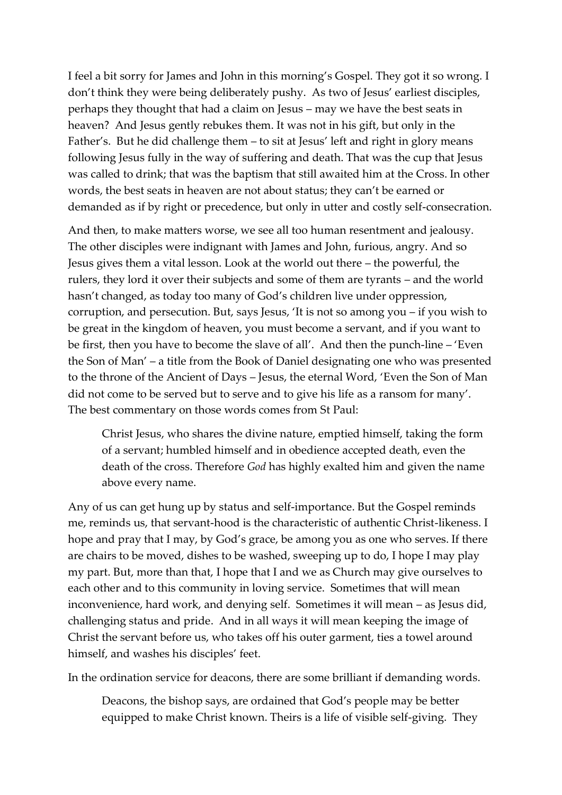I feel a bit sorry for James and John in this morning's Gospel. They got it so wrong. I don't think they were being deliberately pushy. As two of Jesus' earliest disciples, perhaps they thought that had a claim on Jesus – may we have the best seats in heaven? And Jesus gently rebukes them. It was not in his gift, but only in the Father's. But he did challenge them – to sit at Jesus' left and right in glory means following Jesus fully in the way of suffering and death. That was the cup that Jesus was called to drink; that was the baptism that still awaited him at the Cross. In other words, the best seats in heaven are not about status; they can't be earned or demanded as if by right or precedence, but only in utter and costly self-consecration.

And then, to make matters worse, we see all too human resentment and jealousy. The other disciples were indignant with James and John, furious, angry. And so Jesus gives them a vital lesson. Look at the world out there – the powerful, the rulers, they lord it over their subjects and some of them are tyrants – and the world hasn't changed, as today too many of God's children live under oppression, corruption, and persecution. But, says Jesus, 'It is not so among you – if you wish to be great in the kingdom of heaven, you must become a servant, and if you want to be first, then you have to become the slave of all'. And then the punch-line – 'Even the Son of Man' – a title from the Book of Daniel designating one who was presented to the throne of the Ancient of Days – Jesus, the eternal Word, 'Even the Son of Man did not come to be served but to serve and to give his life as a ransom for many'. The best commentary on those words comes from St Paul:

Christ Jesus, who shares the divine nature, emptied himself, taking the form of a servant; humbled himself and in obedience accepted death, even the death of the cross. Therefore *God* has highly exalted him and given the name above every name.

Any of us can get hung up by status and self-importance. But the Gospel reminds me, reminds us, that servant-hood is the characteristic of authentic Christ-likeness. I hope and pray that I may, by God's grace, be among you as one who serves. If there are chairs to be moved, dishes to be washed, sweeping up to do, I hope I may play my part. But, more than that, I hope that I and we as Church may give ourselves to each other and to this community in loving service. Sometimes that will mean inconvenience, hard work, and denying self. Sometimes it will mean – as Jesus did, challenging status and pride. And in all ways it will mean keeping the image of Christ the servant before us, who takes off his outer garment, ties a towel around himself, and washes his disciples' feet.

In the ordination service for deacons, there are some brilliant if demanding words.

Deacons, the bishop says, are ordained that God's people may be better equipped to make Christ known. Theirs is a life of visible self-giving. They